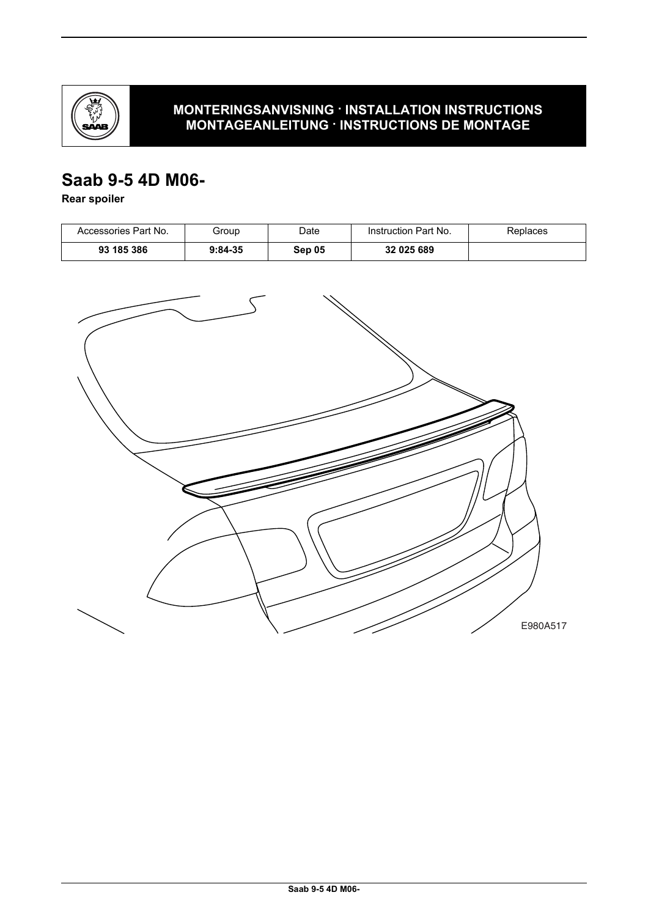

### **MONTERINGSANVISNING · INSTALLATION INSTRUCTIONS MONTAGEANLEITUNG · INSTRUCTIONS DE MONTAGE**

# **Saab 9-5 4D M06-**

**Rear spoiler**

| Accessories Part No. | Group     | Date   | Instruction Part No. | Replaces |
|----------------------|-----------|--------|----------------------|----------|
| 93 185 386           | $9:84-35$ | Sep 05 | 32 025 689           |          |

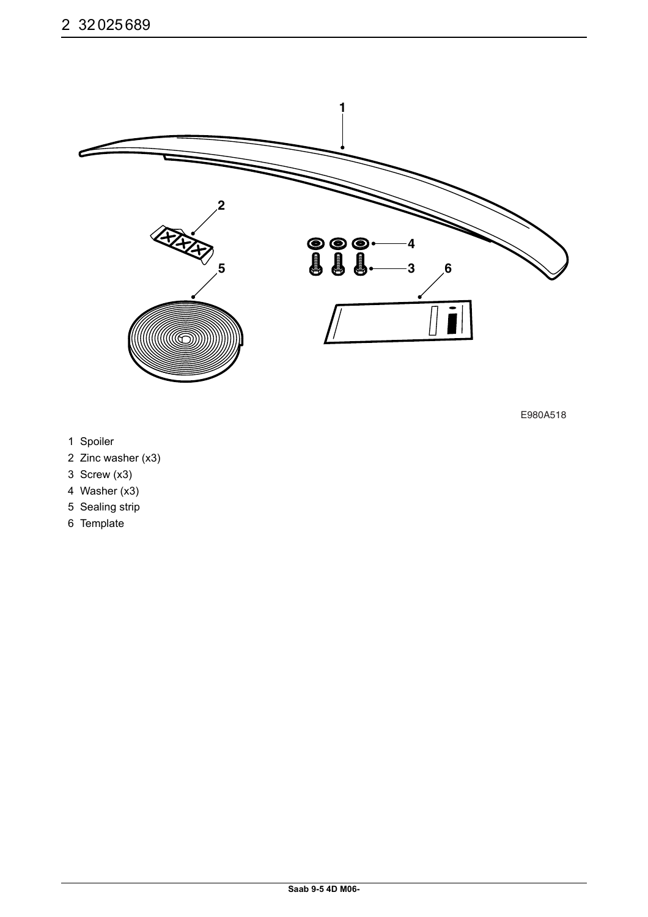

E980A518

- 1 Spoiler
- 2 Zinc washer (x3)
- 3 Screw (x3)
- 4 Washer (x3)
- 5 Sealing strip
- 6 Template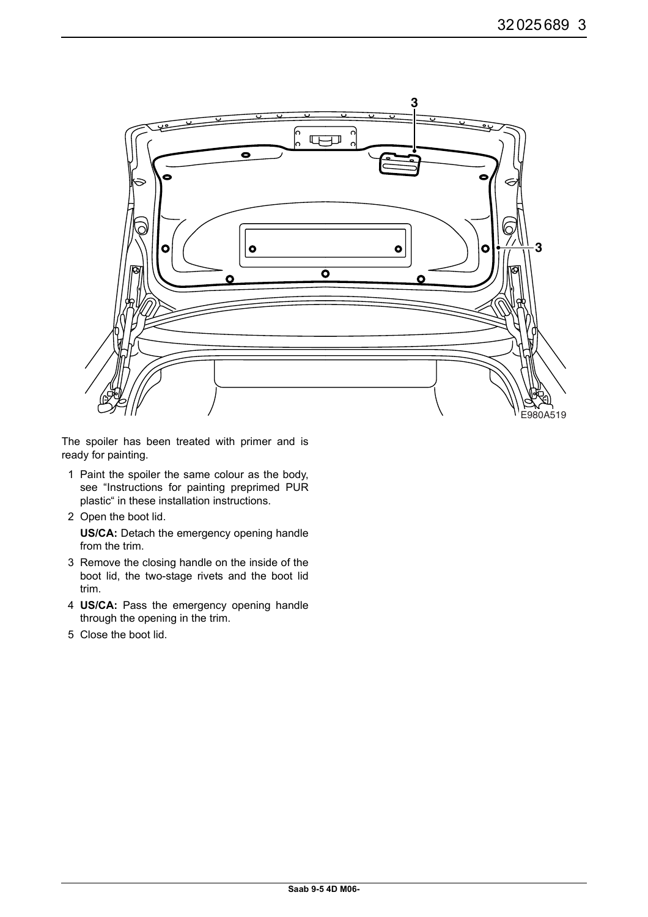

The spoiler has been treated with primer and is ready for painting.

- 1 Paint the spoiler the same colour as the body, see "Instructions for painting preprimed PUR plastic" in these installation instructions.
- 2 Open the boot lid.

**US/CA:** Detach the emergency opening handle from the trim.

- 3 Remove the closing handle on the inside of the boot lid, the two-stage rivets and the boot lid trim.
- 4 **US/CA:** Pass the emergency opening handle through the opening in the trim.
- 5 Close the boot lid.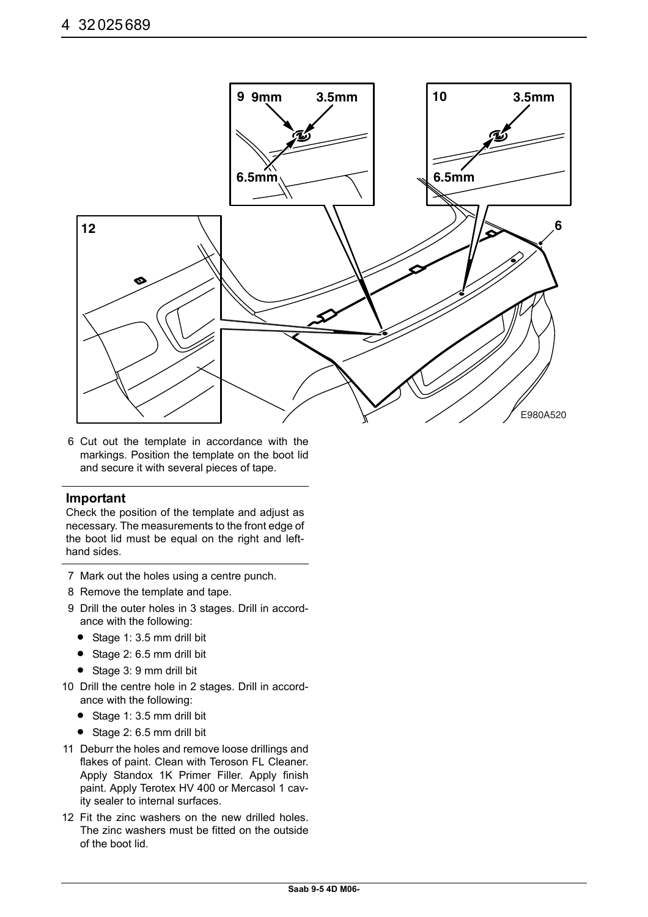

6 Cut out the template in accordance with the markings. Position the template on the boot lid and secure it with several pieces of tape.

### **Important**

Check the position of the template and adjust as necessary. The measurements to the front edge of the boot lid must be equal on the right and lefthand sides.

- 7 Mark out the holes using a centre punch.
- 8 Remove the template and tape.
- 9 Drill the outer holes in 3 stages. Drill in accordance with the following:
	- Stage 1: 3.5 mm drill bit
	- Stage 2: 6.5 mm drill bit
	- Stage 3: 9 mm drill bit
- 10 Drill the centre hole in 2 stages. Drill in accordance with the following:
	- Stage 1: 3.5 mm drill bit
	- Stage 2: 6.5 mm drill bit
- 11 Deburr the holes and remove loose drillings and flakes of paint. Clean with Teroson FL Cleaner. Apply Standox 1K Primer Filler. Apply finish paint. Apply Terotex HV 400 or Mercasol 1 cavity sealer to internal surfaces.
- 12 Fit the zinc washers on the new drilled holes. The zinc washers must be fitted on the outside of the boot lid.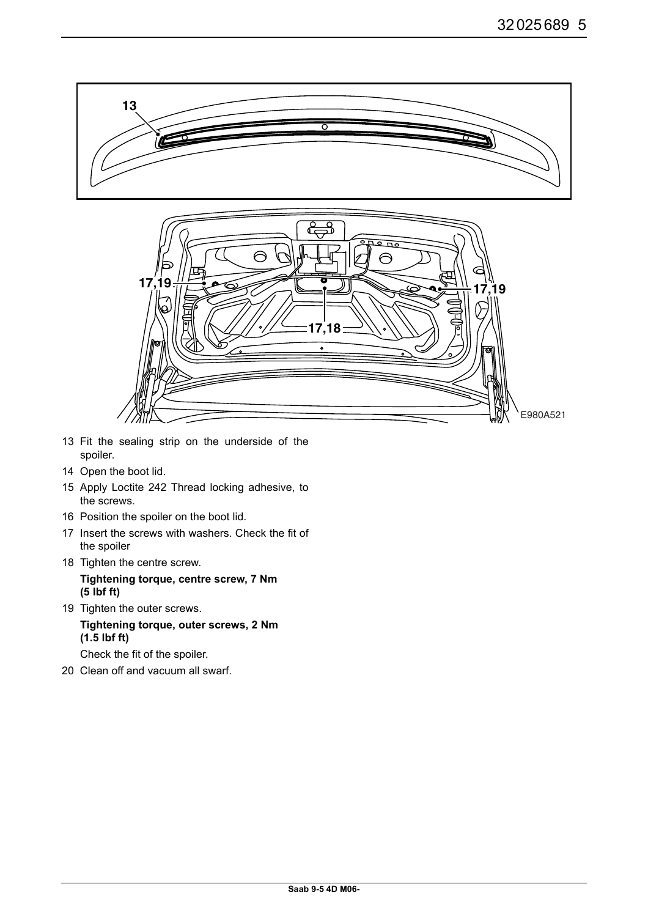

- 13 Fit the sealing strip on the underside of the spoiler.
- 14 Open the boot lid.
- 15 Apply Loctite 242 Thread locking adhesive, to the screws.
- 16 Position the spoiler on the boot lid.
- 17 Insert the screws with washers. Check the fit of the spoiler
- 18 Tighten the centre screw.

**Tightening torque, centre screw, 7 Nm (5 lbf ft)**

- 19 Tighten the outer screws. **Tightening torque, outer screws, 2 Nm (1.5 lbf ft)** Check the fit of the spoiler.
- 20 Clean off and vacuum all swarf.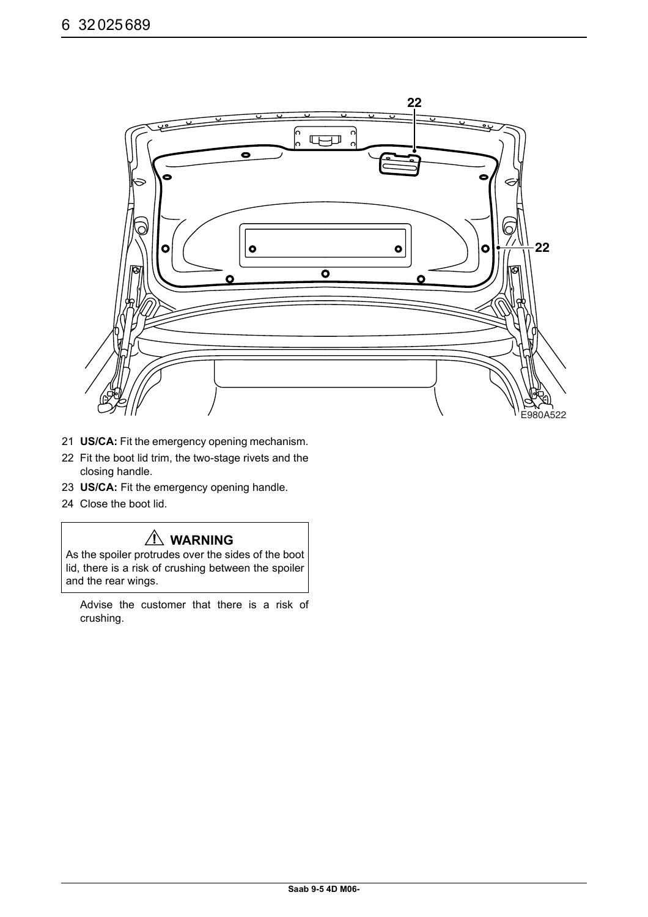

- 21 **US/CA:** Fit the emergency opening mechanism.
- 22 Fit the boot lid trim, the two-stage rivets and the closing handle.
- 23 **US/CA:** Fit the emergency opening handle.
- 24 Close the boot lid.

## **WARNING**

As the spoiler protrudes over the sides of the boot lid, there is a risk of crushing between the spoiler and the rear wings.

Advise the customer that there is a risk of crushing.